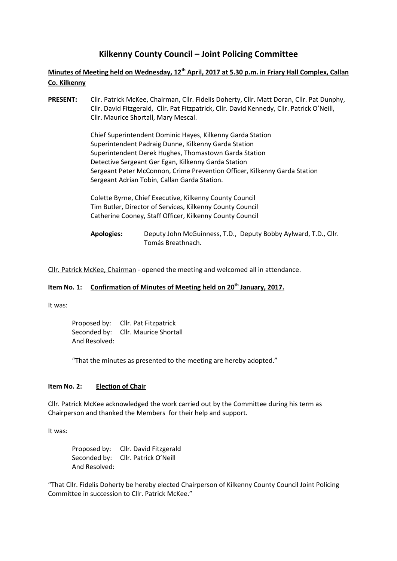# **Kilkenny County Council – Joint Policing Committee**

# **Minutes of Meeting held on Wednesday, 12th April, 2017 at 5.30 p.m. in Friary Hall Complex, Callan Co. Kilkenny**

**PRESENT:** Cllr. Patrick McKee, Chairman, Cllr. Fidelis Doherty, Cllr. Matt Doran, Cllr. Pat Dunphy, Cllr. David Fitzgerald, Cllr. Pat Fitzpatrick, Cllr. David Kennedy, Cllr. Patrick O'Neill, Cllr. Maurice Shortall, Mary Mescal.

> Chief Superintendent Dominic Hayes, Kilkenny Garda Station Superintendent Padraig Dunne, Kilkenny Garda Station Superintendent Derek Hughes, Thomastown Garda Station Detective Sergeant Ger Egan, Kilkenny Garda Station Sergeant Peter McConnon, Crime Prevention Officer, Kilkenny Garda Station Sergeant Adrian Tobin, Callan Garda Station.

Colette Byrne, Chief Executive, Kilkenny County Council Tim Butler, Director of Services, Kilkenny County Council Catherine Cooney, Staff Officer, Kilkenny County Council

**Apologies:** Deputy John McGuinness, T.D., Deputy Bobby Aylward, T.D., Cllr. Tomás Breathnach.

Cllr. Patrick McKee, Chairman - opened the meeting and welcomed all in attendance.

# **Item No. 1: Confirmation of Minutes of Meeting held on 20th January, 2017.**

It was:

Proposed by: Cllr. Pat Fitzpatrick Seconded by: Cllr. Maurice Shortall And Resolved:

"That the minutes as presented to the meeting are hereby adopted."

#### **Item No. 2: Election of Chair**

Cllr. Patrick McKee acknowledged the work carried out by the Committee during his term as Chairperson and thanked the Members for their help and support.

It was:

Proposed by: Cllr. David Fitzgerald Seconded by: Cllr. Patrick O'Neill And Resolved:

"That Cllr. Fidelis Doherty be hereby elected Chairperson of Kilkenny County Council Joint Policing Committee in succession to Cllr. Patrick McKee."